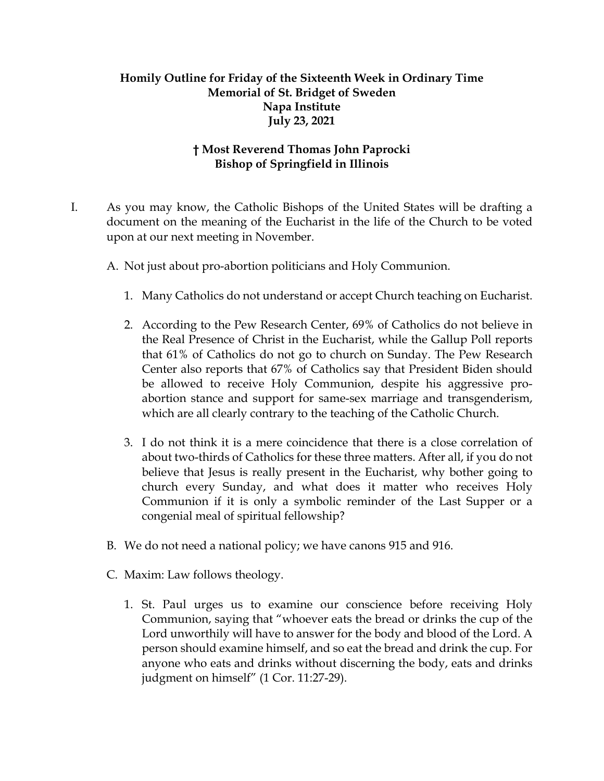## **Homily Outline for Friday of the Sixteenth Week in Ordinary Time Memorial of St. Bridget of Sweden Napa Institute July 23, 2021**

## **† Most Reverend Thomas John Paprocki Bishop of Springfield in Illinois**

- I. As you may know, the Catholic Bishops of the United States will be drafting a document on the meaning of the Eucharist in the life of the Church to be voted upon at our next meeting in November.
	- A. Not just about pro-abortion politicians and Holy Communion.
		- 1. Many Catholics do not understand or accept Church teaching on Eucharist.
		- 2. According to the Pew Research Center, 69% of Catholics do not believe in the Real Presence of Christ in the Eucharist, while the Gallup Poll reports that 61% of Catholics do not go to church on Sunday. The Pew Research Center also reports that 67% of Catholics say that President Biden should be allowed to receive Holy Communion, despite his aggressive proabortion stance and support for same-sex marriage and transgenderism, which are all clearly contrary to the teaching of the Catholic Church.
		- 3. I do not think it is a mere coincidence that there is a close correlation of about two-thirds of Catholics for these three matters. After all, if you do not believe that Jesus is really present in the Eucharist, why bother going to church every Sunday, and what does it matter who receives Holy Communion if it is only a symbolic reminder of the Last Supper or a congenial meal of spiritual fellowship?
	- B. We do not need a national policy; we have canons 915 and 916.
	- C. Maxim: Law follows theology.
		- 1. St. Paul urges us to examine our conscience before receiving Holy Communion, saying that "whoever eats the bread or drinks the cup of the Lord unworthily will have to answer for the body and blood of the Lord. A person should examine himself, and so eat the bread and drink the cup. For anyone who eats and drinks without discerning the body, eats and drinks judgment on himself" (1 Cor. 11:27-29).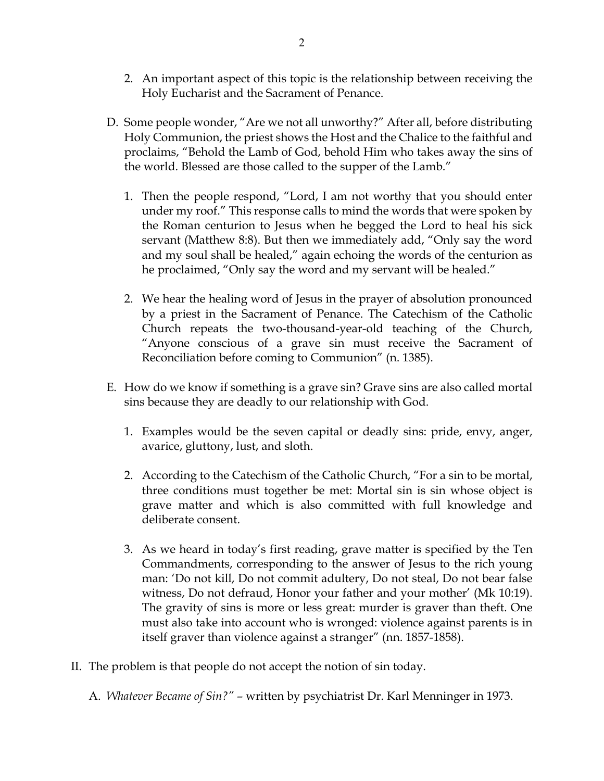- 2. An important aspect of this topic is the relationship between receiving the Holy Eucharist and the Sacrament of Penance.
- D. Some people wonder, "Are we not all unworthy?" After all, before distributing Holy Communion, the priest shows the Host and the Chalice to the faithful and proclaims, "Behold the Lamb of God, behold Him who takes away the sins of the world. Blessed are those called to the supper of the Lamb."
	- 1. Then the people respond, "Lord, I am not worthy that you should enter under my roof." This response calls to mind the words that were spoken by the Roman centurion to Jesus when he begged the Lord to heal his sick servant (Matthew 8:8). But then we immediately add, "Only say the word and my soul shall be healed," again echoing the words of the centurion as he proclaimed, "Only say the word and my servant will be healed."
	- 2. We hear the healing word of Jesus in the prayer of absolution pronounced by a priest in the Sacrament of Penance. The Catechism of the Catholic Church repeats the two-thousand-year-old teaching of the Church, "Anyone conscious of a grave sin must receive the Sacrament of Reconciliation before coming to Communion" (n. 1385).
- E. How do we know if something is a grave sin? Grave sins are also called mortal sins because they are deadly to our relationship with God.
	- 1. Examples would be the seven capital or deadly sins: pride, envy, anger, avarice, gluttony, lust, and sloth.
	- 2. According to the Catechism of the Catholic Church, "For a sin to be mortal, three conditions must together be met: Mortal sin is sin whose object is grave matter and which is also committed with full knowledge and deliberate consent.
	- 3. As we heard in today's first reading, grave matter is specified by the Ten Commandments, corresponding to the answer of Jesus to the rich young man: 'Do not kill, Do not commit adultery, Do not steal, Do not bear false witness, Do not defraud, Honor your father and your mother' (Mk 10:19). The gravity of sins is more or less great: murder is graver than theft. One must also take into account who is wronged: violence against parents is in itself graver than violence against a stranger" (nn. 1857-1858).
- II. The problem is that people do not accept the notion of sin today.
	- A. *Whatever Became of Sin?"*  written by psychiatrist Dr. Karl Menninger in 1973.